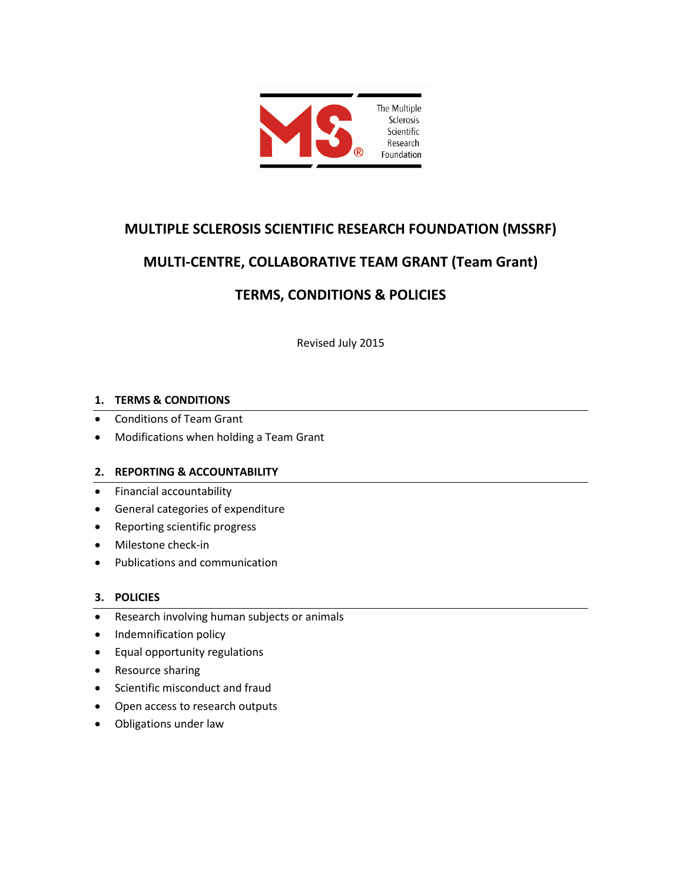

# **MULTIPLE SCLEROSIS SCIENTIFIC RESEARCH FOUNDATION (MSSRF)**

# **MULTI-CENTRE, COLLABORATIVE TEAM GRANT (Team Grant)**

# **TERMS, CONDITIONS & POLICIES**

Revised July 2015

# **1. TERMS & CONDITIONS**

- Conditions of Team Grant
- Modifications when holding a Team Grant

# **2. REPORTING & ACCOUNTABILITY**

- Financial accountability
- General categories of expenditure
- Reporting scientific progress
- Milestone check-in
- Publications and communication

# **3. POLICIES**

- Research involving human subjects or animals
- Indemnification policy
- Equal opportunity regulations
- Resource sharing
- Scientific misconduct and fraud
- Open access to research outputs
- Obligations under law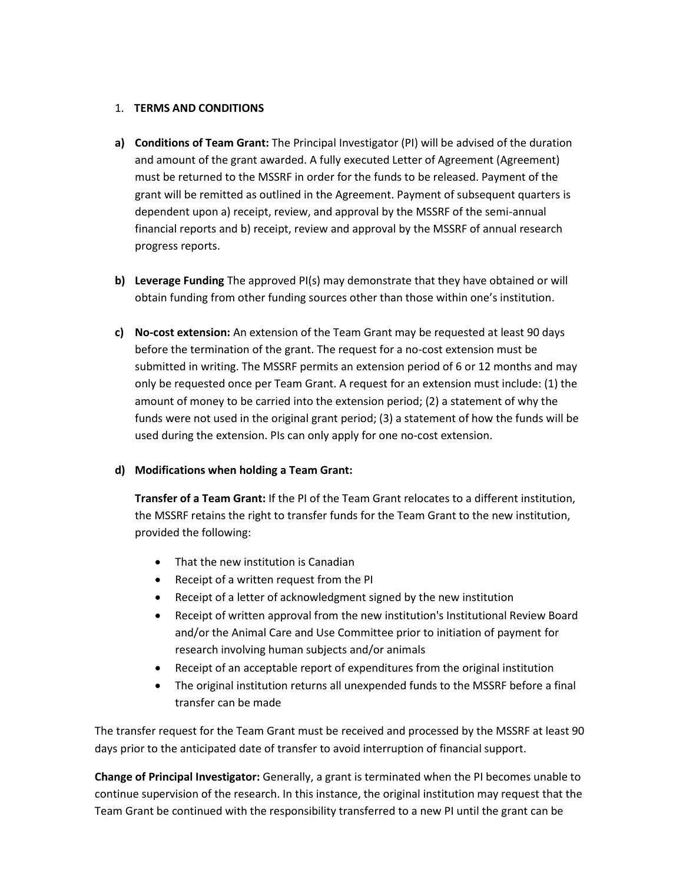## 1. **TERMS AND CONDITIONS**

- **a) Conditions of Team Grant:** The Principal Investigator (PI) will be advised of the duration and amount of the grant awarded. A fully executed Letter of Agreement (Agreement) must be returned to the MSSRF in order for the funds to be released. Payment of the grant will be remitted as outlined in the Agreement. Payment of subsequent quarters is dependent upon a) receipt, review, and approval by the MSSRF of the semi-annual financial reports and b) receipt, review and approval by the MSSRF of annual research progress reports.
- **b) Leverage Funding** The approved PI(s) may demonstrate that they have obtained or will obtain funding from other funding sources other than those within one's institution.
- **c) No-cost extension:** An extension of the Team Grant may be requested at least 90 days before the termination of the grant. The request for a no-cost extension must be submitted in writing. The MSSRF permits an extension period of 6 or 12 months and may only be requested once per Team Grant. A request for an extension must include: (1) the amount of money to be carried into the extension period; (2) a statement of why the funds were not used in the original grant period; (3) a statement of how the funds will be used during the extension. PIs can only apply for one no-cost extension.

# **d) Modifications when holding a Team Grant:**

**Transfer of a Team Grant:** If the PI of the Team Grant relocates to a different institution, the MSSRF retains the right to transfer funds for the Team Grant to the new institution, provided the following:

- That the new institution is Canadian
- Receipt of a written request from the PI
- Receipt of a letter of acknowledgment signed by the new institution
- Receipt of written approval from the new institution's Institutional Review Board and/or the Animal Care and Use Committee prior to initiation of payment for research involving human subjects and/or animals
- Receipt of an acceptable report of expenditures from the original institution
- The original institution returns all unexpended funds to the MSSRF before a final transfer can be made

The transfer request for the Team Grant must be received and processed by the MSSRF at least 90 days prior to the anticipated date of transfer to avoid interruption of financial support.

**Change of Principal Investigator:** Generally, a grant is terminated when the PI becomes unable to continue supervision of the research. In this instance, the original institution may request that the Team Grant be continued with the responsibility transferred to a new PI until the grant can be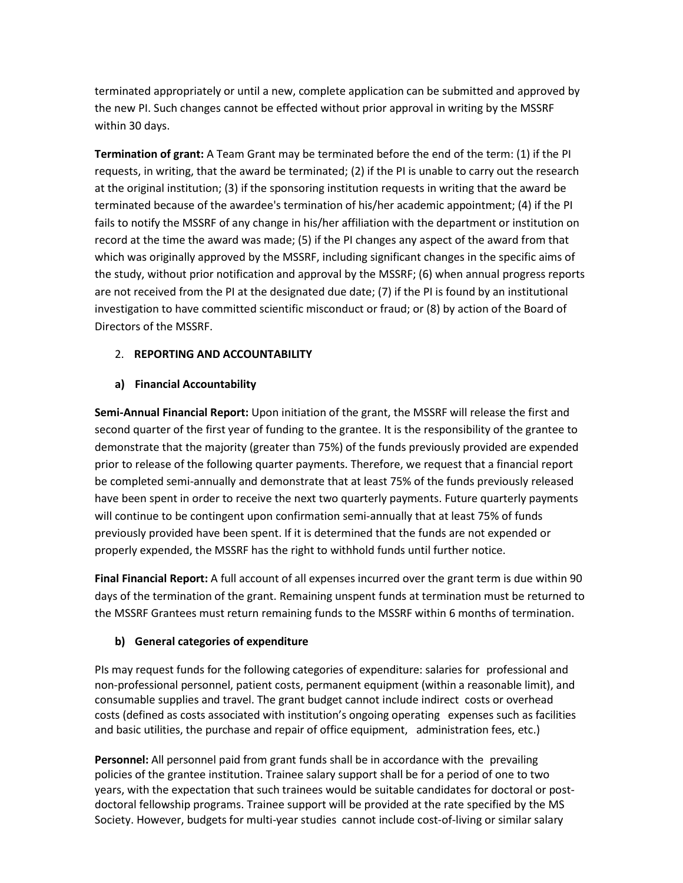terminated appropriately or until a new, complete application can be submitted and approved by the new PI. Such changes cannot be effected without prior approval in writing by the MSSRF within 30 days.

**Termination of grant:** A Team Grant may be terminated before the end of the term: (1) if the PI requests, in writing, that the award be terminated; (2) if the PI is unable to carry out the research at the original institution; (3) if the sponsoring institution requests in writing that the award be terminated because of the awardee's termination of his/her academic appointment; (4) if the PI fails to notify the MSSRF of any change in his/her affiliation with the department or institution on record at the time the award was made; (5) if the PI changes any aspect of the award from that which was originally approved by the MSSRF, including significant changes in the specific aims of the study, without prior notification and approval by the MSSRF; (6) when annual progress reports are not received from the PI at the designated due date; (7) if the PI is found by an institutional investigation to have committed scientific misconduct or fraud; or (8) by action of the Board of Directors of the MSSRF.

## 2. **REPORTING AND ACCOUNTABILITY**

#### **a) Financial Accountability**

**Semi-Annual Financial Report:** Upon initiation of the grant, the MSSRF will release the first and second quarter of the first year of funding to the grantee. It is the responsibility of the grantee to demonstrate that the majority (greater than 75%) of the funds previously provided are expended prior to release of the following quarter payments. Therefore, we request that a financial report be completed semi-annually and demonstrate that at least 75% of the funds previously released have been spent in order to receive the next two quarterly payments. Future quarterly payments will continue to be contingent upon confirmation semi-annually that at least 75% of funds previously provided have been spent. If it is determined that the funds are not expended or properly expended, the MSSRF has the right to withhold funds until further notice.

**Final Financial Report:** A full account of all expenses incurred over the grant term is due within 90 days of the termination of the grant. Remaining unspent funds at termination must be returned to the MSSRF Grantees must return remaining funds to the MSSRF within 6 months of termination.

## **b) General categories of expenditure**

PIs may request funds for the following categories of expenditure: salaries for professional and non-professional personnel, patient costs, permanent equipment (within a reasonable limit), and consumable supplies and travel. The grant budget cannot include indirect costs or overhead costs (defined as costs associated with institution's ongoing operating expenses such as facilities and basic utilities, the purchase and repair of office equipment, administration fees, etc.)

**Personnel:** All personnel paid from grant funds shall be in accordance with the prevailing policies of the grantee institution. Trainee salary support shall be for a period of one to two years, with the expectation that such trainees would be suitable candidates for doctoral or postdoctoral fellowship programs. Trainee support will be provided at the rate specified by the MS Society. However, budgets for multi-year studies cannot include cost-of-living or similar salary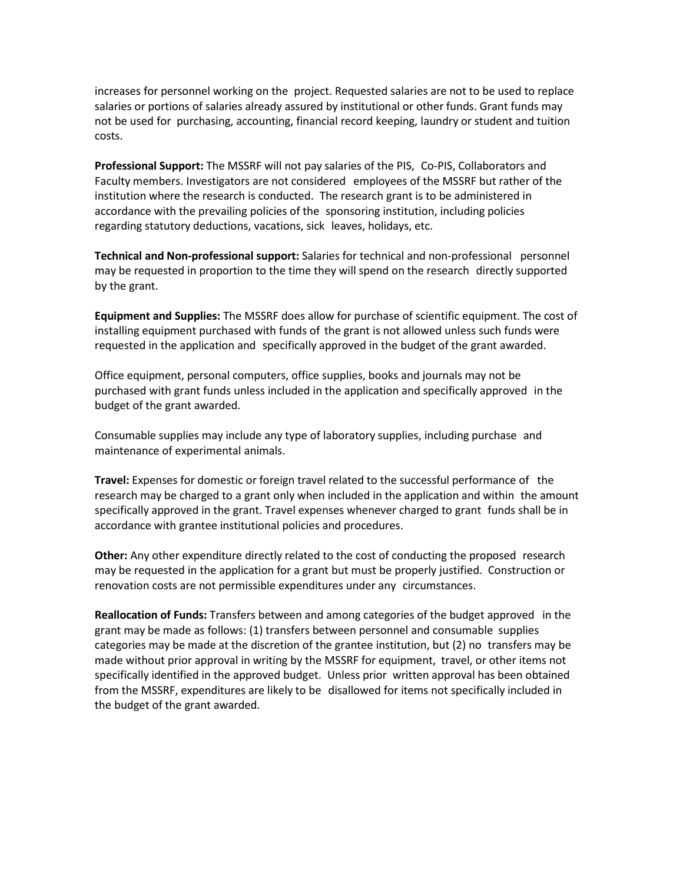increases for personnel working on the project. Requested salaries are not to be used to replace salaries or portions of salaries already assured by institutional or other funds. Grant funds may not be used for purchasing, accounting, financial record keeping, laundry or student and tuition costs.

**Professional Support:** The MSSRF will not pay salaries of the PIS, Co-PIS, Collaborators and Faculty members. Investigators are not considered employees of the MSSRF but rather of the institution where the research is conducted. The research grant is to be administered in accordance with the prevailing policies of the sponsoring institution, including policies regarding statutory deductions, vacations, sick leaves, holidays, etc.

**Technical and Non-professional support:** Salaries for technical and non-professional personnel may be requested in proportion to the time they will spend on the research directly supported by the grant.

**Equipment and Supplies:** The MSSRF does allow for purchase of scientific equipment. The cost of installing equipment purchased with funds of the grant is not allowed unless such funds were requested in the application and specifically approved in the budget of the grant awarded.

Office equipment, personal computers, office supplies, books and journals may not be purchased with grant funds unless included in the application and specifically approved in the budget of the grant awarded.

Consumable supplies may include any type of laboratory supplies, including purchase and maintenance of experimental animals.

**Travel:** Expenses for domestic or foreign travel related to the successful performance of the research may be charged to a grant only when included in the application and within the amount specifically approved in the grant. Travel expenses whenever charged to grant funds shall be in accordance with grantee institutional policies and procedures.

**Other:** Any other expenditure directly related to the cost of conducting the proposed research may be requested in the application for a grant but must be properly justified. Construction or renovation costs are not permissible expenditures under any circumstances.

**Reallocation of Funds:** Transfers between and among categories of the budget approved in the grant may be made as follows: (1) transfers between personnel and consumable supplies categories may be made at the discretion of the grantee institution, but (2) no transfers may be made without prior approval in writing by the MSSRF for equipment, travel, or other items not specifically identified in the approved budget. Unless prior written approval has been obtained from the MSSRF, expenditures are likely to be disallowed for items not specifically included in the budget of the grant awarded.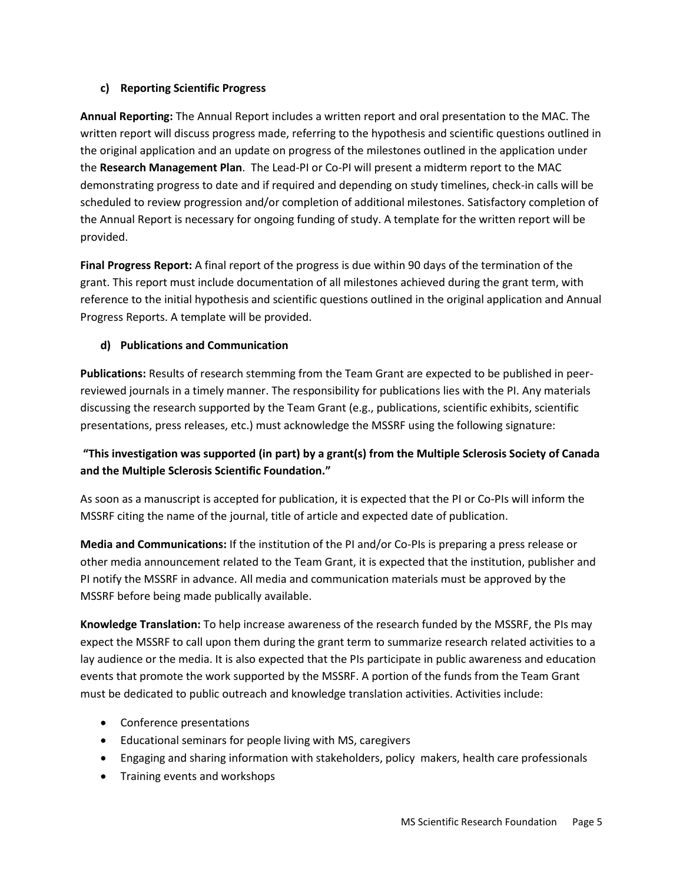# **c) Reporting Scientific Progress**

**Annual Reporting:** The Annual Report includes a written report and oral presentation to the MAC. The written report will discuss progress made, referring to the hypothesis and scientific questions outlined in the original application and an update on progress of the milestones outlined in the application under the **Research Management Plan**. The Lead-PI or Co-PI will present a midterm report to the MAC demonstrating progress to date and if required and depending on study timelines, check-in calls will be scheduled to review progression and/or completion of additional milestones. Satisfactory completion of the Annual Report is necessary for ongoing funding of study. A template for the written report will be provided.

**Final Progress Report:** A final report of the progress is due within 90 days of the termination of the grant. This report must include documentation of all milestones achieved during the grant term, with reference to the initial hypothesis and scientific questions outlined in the original application and Annual Progress Reports. A template will be provided.

# **d) Publications and Communication**

**Publications:** Results of research stemming from the Team Grant are expected to be published in peerreviewed journals in a timely manner. The responsibility for publications lies with the PI. Any materials discussing the research supported by the Team Grant (e.g., publications, scientific exhibits, scientific presentations, press releases, etc.) must acknowledge the MSSRF using the following signature:

# **"This investigation was supported (in part) by a grant(s) from the Multiple Sclerosis Society of Canada and the Multiple Sclerosis Scientific Foundation."**

As soon as a manuscript is accepted for publication, it is expected that the PI or Co-PIs will inform the MSSRF citing the name of the journal, title of article and expected date of publication.

**Media and Communications:** If the institution of the PI and/or Co-PIs is preparing a press release or other media announcement related to the Team Grant, it is expected that the institution, publisher and PI notify the MSSRF in advance. All media and communication materials must be approved by the MSSRF before being made publically available.

**Knowledge Translation:** To help increase awareness of the research funded by the MSSRF, the PIs may expect the MSSRF to call upon them during the grant term to summarize research related activities to a lay audience or the media. It is also expected that the PIs participate in public awareness and education events that promote the work supported by the MSSRF. A portion of the funds from the Team Grant must be dedicated to public outreach and knowledge translation activities. Activities include:

- Conference presentations
- Educational seminars for people living with MS, caregivers
- Engaging and sharing information with stakeholders, policy makers, health care professionals
- Training events and workshops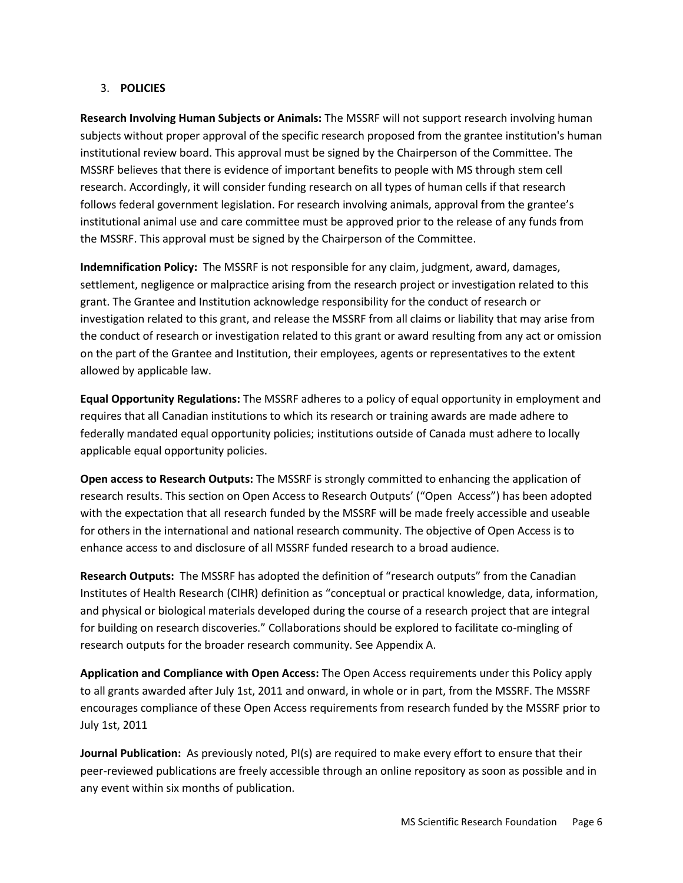## 3. **POLICIES**

**Research Involving Human Subjects or Animals:** The MSSRF will not support research involving human subjects without proper approval of the specific research proposed from the grantee institution's human institutional review board. This approval must be signed by the Chairperson of the Committee. The MSSRF believes that there is evidence of important benefits to people with MS through stem cell research. Accordingly, it will consider funding research on all types of human cells if that research follows federal government legislation. For research involving animals, approval from the grantee's institutional animal use and care committee must be approved prior to the release of any funds from the MSSRF. This approval must be signed by the Chairperson of the Committee.

**Indemnification Policy:** The MSSRF is not responsible for any claim, judgment, award, damages, settlement, negligence or malpractice arising from the research project or investigation related to this grant. The Grantee and Institution acknowledge responsibility for the conduct of research or investigation related to this grant, and release the MSSRF from all claims or liability that may arise from the conduct of research or investigation related to this grant or award resulting from any act or omission on the part of the Grantee and Institution, their employees, agents or representatives to the extent allowed by applicable law.

**Equal Opportunity Regulations:** The MSSRF adheres to a policy of equal opportunity in employment and requires that all Canadian institutions to which its research or training awards are made adhere to federally mandated equal opportunity policies; institutions outside of Canada must adhere to locally applicable equal opportunity policies.

**Open access to Research Outputs:** The MSSRF is strongly committed to enhancing the application of research results. This section on Open Access to Research Outputs' ("Open Access") has been adopted with the expectation that all research funded by the MSSRF will be made freely accessible and useable for others in the international and national research community. The objective of Open Access is to enhance access to and disclosure of all MSSRF funded research to a broad audience.

**Research Outputs:** The MSSRF has adopted the definition of "research outputs" from the Canadian Institutes of Health Research (CIHR) definition as "conceptual or practical knowledge, data, information, and physical or biological materials developed during the course of a research project that are integral for building on research discoveries." Collaborations should be explored to facilitate co-mingling of research outputs for the broader research community. See Appendix A.

**Application and Compliance with Open Access:** The Open Access requirements under this Policy apply to all grants awarded after July 1st, 2011 and onward, in whole or in part, from the MSSRF. The MSSRF encourages compliance of these Open Access requirements from research funded by the MSSRF prior to July 1st, 2011

**Journal Publication:** As previously noted, PI(s) are required to make every effort to ensure that their peer-reviewed publications are freely accessible through an online repository as soon as possible and in any event within six months of publication.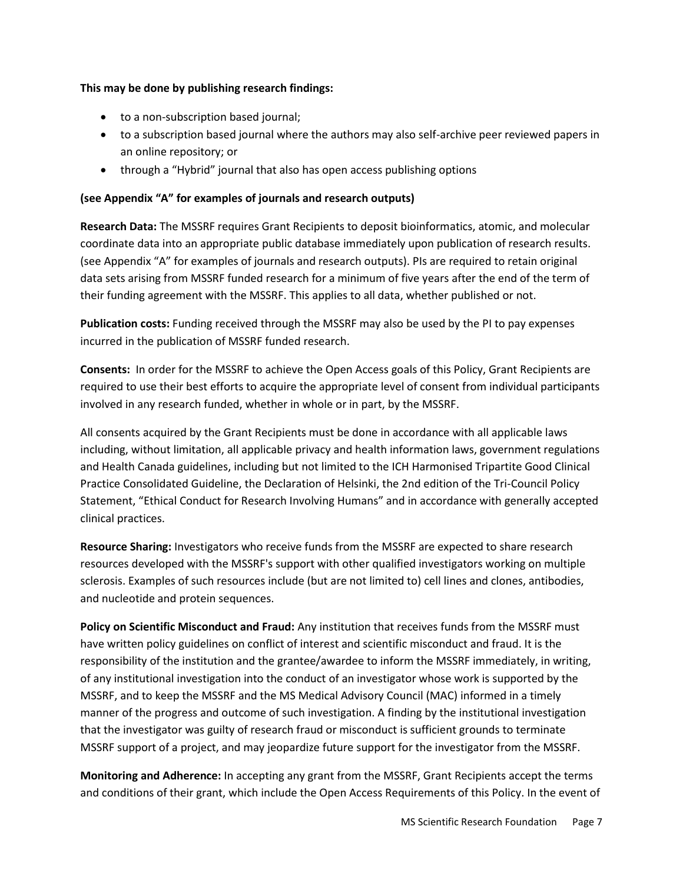## **This may be done by publishing research findings:**

- to a non-subscription based journal;
- to a subscription based journal where the authors may also self-archive peer reviewed papers in an online repository; or
- through a "Hybrid" journal that also has open access publishing options

## **(see Appendix "A" for examples of journals and research outputs)**

**Research Data:** The MSSRF requires Grant Recipients to deposit bioinformatics, atomic, and molecular coordinate data into an appropriate public database immediately upon publication of research results. (see Appendix "A" for examples of journals and research outputs). PIs are required to retain original data sets arising from MSSRF funded research for a minimum of five years after the end of the term of their funding agreement with the MSSRF. This applies to all data, whether published or not.

**Publication costs:** Funding received through the MSSRF may also be used by the PI to pay expenses incurred in the publication of MSSRF funded research.

**Consents:** In order for the MSSRF to achieve the Open Access goals of this Policy, Grant Recipients are required to use their best efforts to acquire the appropriate level of consent from individual participants involved in any research funded, whether in whole or in part, by the MSSRF.

All consents acquired by the Grant Recipients must be done in accordance with all applicable laws including, without limitation, all applicable privacy and health information laws, government regulations and Health Canada guidelines, including but not limited to the ICH Harmonised Tripartite Good Clinical Practice Consolidated Guideline, the Declaration of Helsinki, the 2nd edition of the Tri-Council Policy Statement, "Ethical Conduct for Research Involving Humans" and in accordance with generally accepted clinical practices.

**Resource Sharing:** Investigators who receive funds from the MSSRF are expected to share research resources developed with the MSSRF's support with other qualified investigators working on multiple sclerosis. Examples of such resources include (but are not limited to) cell lines and clones, antibodies, and nucleotide and protein sequences.

**Policy on Scientific Misconduct and Fraud:** Any institution that receives funds from the MSSRF must have written policy guidelines on conflict of interest and scientific misconduct and fraud. It is the responsibility of the institution and the grantee/awardee to inform the MSSRF immediately, in writing, of any institutional investigation into the conduct of an investigator whose work is supported by the MSSRF, and to keep the MSSRF and the MS Medical Advisory Council (MAC) informed in a timely manner of the progress and outcome of such investigation. A finding by the institutional investigation that the investigator was guilty of research fraud or misconduct is sufficient grounds to terminate MSSRF support of a project, and may jeopardize future support for the investigator from the MSSRF.

**Monitoring and Adherence:** In accepting any grant from the MSSRF, Grant Recipients accept the terms and conditions of their grant, which include the Open Access Requirements of this Policy. In the event of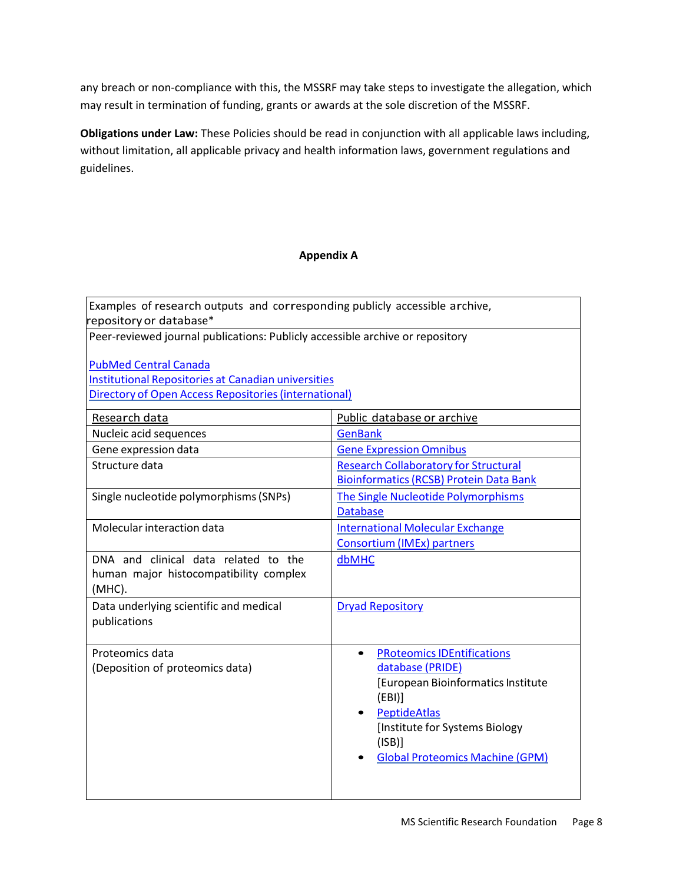any breach or non-compliance with this, the MSSRF may take steps to investigate the allegation, which may result in termination of funding, grants or awards at the sole discretion of the MSSRF.

**Obligations under Law:** These Policies should be read in conjunction with all applicable laws including, without limitation, all applicable privacy and health information laws, government regulations and guidelines.

## **Appendix A**

Examples of research outputs and corresponding publicly accessible archive, repositoryor database\*

Peer-reviewed journal publications: Publicly accessible archive or repository

[PubMed Central Canada](http://pubmedcentralcanada.ca/pmcc/) Institutional [Repositories](http://carl-abrc.ca/en/scholarly-communications/carl-institutional-repository-program.html) at Canadian universities Directory of Open Access [Repositories\(international\)](http://www.opendoar.org/)

| Research data                          | Public database or archive                     |
|----------------------------------------|------------------------------------------------|
| Nucleic acid sequences                 | <b>GenBank</b>                                 |
| Gene expression data                   | <b>Gene Expression Omnibus</b>                 |
| Structure data                         | <b>Research Collaboratory for Structural</b>   |
|                                        | <b>Bioinformatics (RCSB) Protein Data Bank</b> |
| Single nucleotide polymorphisms (SNPs) | The Single Nucleotide Polymorphisms            |
|                                        | <b>Database</b>                                |
| Molecular interaction data             | <b>International Molecular Exchange</b>        |
|                                        | Consortium (IMEx) partners                     |
| DNA and clinical data related to the   | dbMHC                                          |
| human major histocompatibility complex |                                                |
| $(MHC)$ .                              |                                                |
| Data underlying scientific and medical | <b>Dryad Repository</b>                        |
| publications                           |                                                |
|                                        |                                                |
| Proteomics data                        | <b>PRoteomics IDEntifications</b>              |
| (Deposition of proteomics data)        | database (PRIDE)                               |
|                                        | [European Bioinformatics Institute             |
|                                        | (EBI)                                          |
|                                        | PeptideAtlas                                   |
|                                        | [Institute for Systems Biology                 |
|                                        | (ISB)                                          |
|                                        | <b>Global Proteomics Machine (GPM)</b>         |
|                                        |                                                |
|                                        |                                                |